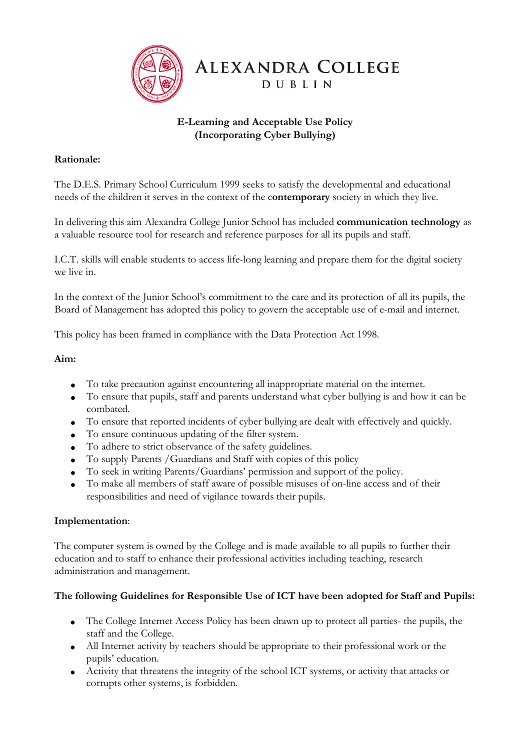

# **E-Learning and Acceptable Use Policy (Incorporating Cyber Bullying)**

### **Rationale:**

The D.E.S. Primary School Curriculum 1999 seeks to satisfy the developmental and educational needs of the children it serves in the context of the c**ontemporary** society in which they live.

In delivering this aim Alexandra College Junior School has included **communication technology** as a valuable resource tool for research and reference purposes for all its pupils and staff.

I.C.T. skills will enable students to access life-long learning and prepare them for the digital society we live in.

In the context of the Junior School's commitment to the care and its protection of all its pupils, the Board of Management has adopted this policy to govern the acceptable use of e-mail and internet.

This policy has been framed in compliance with the Data Protection Act 1998.

#### **Aim:**

- To take precaution against encountering all inappropriate material on the internet.
- To ensure that pupils, staff and parents understand what cyber bullying is and how it can be combated.
- To ensure that reported incidents of cyber bullying are dealt with effectively and quickly.
- To ensure continuous updating of the filter system.
- To adhere to strict observance of the safety guidelines.
- To supply Parents /Guardians and Staff with copies of this policy
- To seek in writing Parents/Guardians' permission and support of the policy.
- To make all members of staff aware of possible misuses of on-line access and of their responsibilities and need of vigilance towards their pupils.

#### **Implementation**:

The computer system is owned by the College and is made available to all pupils to further their education and to staff to enhance their professional activities including teaching, research administration and management.

### **The following Guidelines for Responsible Use of ICT have been adopted for Staff and Pupils:**

- The College Internet Access Policy has been drawn up to protect all parties- the pupils, the staff and the College.
- All Internet activity by teachers should be appropriate to their professional work or the pupils' education.
- Activity that threatens the integrity of the school ICT systems, or activity that attacks or corrupts other systems, is forbidden.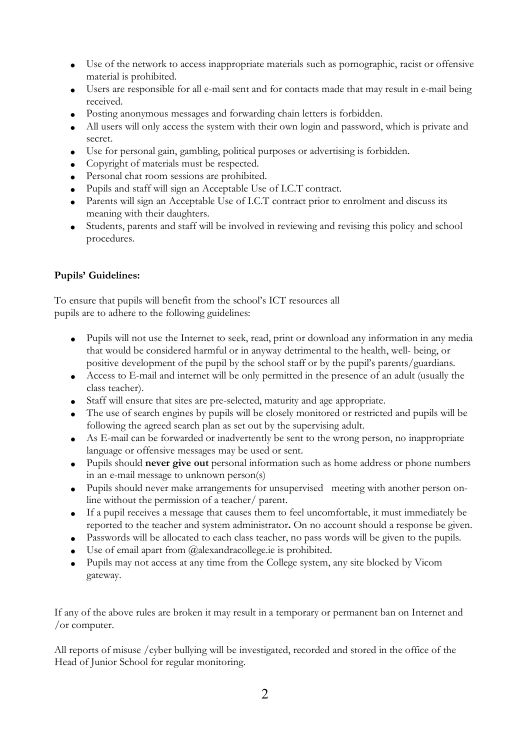- Use of the network to access inappropriate materials such as pornographic, racist or offensive material is prohibited.
- Users are responsible for all e-mail sent and for contacts made that may result in e-mail being received.
- Posting anonymous messages and forwarding chain letters is forbidden.
- All users will only access the system with their own login and password, which is private and secret.
- Use for personal gain, gambling, political purposes or advertising is forbidden.
- Copyright of materials must be respected.
- Personal chat room sessions are prohibited.
- Pupils and staff will sign an Acceptable Use of I.C.T contract.
- Parents will sign an Acceptable Use of I.C.T contract prior to enrolment and discuss its meaning with their daughters.
- Students, parents and staff will be involved in reviewing and revising this policy and school procedures.

## **Pupils' Guidelines:**

To ensure that pupils will benefit from the school's ICT resources all pupils are to adhere to the following guidelines:

- Pupils will not use the Internet to seek, read, print or download any information in any media that would be considered harmful or in anyway detrimental to the health, well- being, or positive development of the pupil by the school staff or by the pupil's parents/guardians.
- Access to E-mail and internet will be only permitted in the presence of an adult (usually the class teacher).
- Staff will ensure that sites are pre-selected, maturity and age appropriate.
- The use of search engines by pupils will be closely monitored or restricted and pupils will be following the agreed search plan as set out by the supervising adult.
- As E-mail can be forwarded or inadvertently be sent to the wrong person, no inappropriate language or offensive messages may be used or sent.
- Pupils should **never give out** personal information such as home address or phone numbers in an e-mail message to unknown person(s)
- Pupils should never make arrangements for unsupervised meeting with another person online without the permission of a teacher/ parent.
- If a pupil receives a message that causes them to feel uncomfortable, it must immediately be reported to the teacher and system administrator**.** On no account should a response be given.
- Passwords will be allocated to each class teacher, no pass words will be given to the pupils.
- Use of email apart from @alexandracollege.ie is prohibited.
- Pupils may not access at any time from the College system, any site blocked by Vicom gateway.

If any of the above rules are broken it may result in a temporary or permanent ban on Internet and /or computer.

All reports of misuse /cyber bullying will be investigated, recorded and stored in the office of the Head of Junior School for regular monitoring.